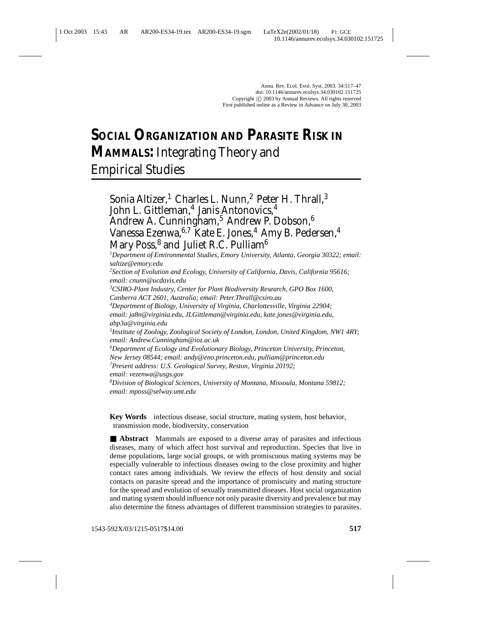# **SOCIAL ORGANIZATION AND PARASITE RISK IN MAMMALS:** Integrating Theory and Empirical Studies

Sonia Altizer,<sup>1</sup> Charles L. Nunn,<sup>2</sup> Peter H. Thrall,<sup>3</sup> John L. Gittleman,  $\frac{4}{3}$  Janis Antonovics,  $\frac{4}{3}$ Andrew A. Cunningham,<sup>5</sup> Andrew P. Dobson,<sup>6</sup> Vanessa Ezenwa,  $6.7$  Kate E. Jones,  $4$  Amy B. Pedersen,  $4$ Mary Poss, $8$  and Juliet R.C. Pulliam $6$ 

*1 Department of Environmental Studies, Emory University, Atlanta, Georgia 30322; email: saltize@emory.edu*

*2 Section of Evolution and Ecology, University of California, Davis, California 95616; email: cnunn@ucdavis.edu*

*3 CSIRO-Plant Industry, Center for Plant Biodiversity Research, GPO Box 1600, Canberra ACT 2601, Australia; email: Peter.Thrall@csiro.au*

*4 Department of Biology, University of Virginia, Charlottesville, Virginia 22904; email: ja8n@virginia.edu, JLGittleman@virginia.edu, kate.jones@virginia.edu, abp3a@virginia.edu*

*5 Institute of Zoology, Zoological Society of London, London, United Kingdom, NW1 4RY; email: Andrew.Cunningham@ioz.ac.uk*

*6 Department of Ecology and Evolutionary Biology, Princeton University, Princeton, New Jersey 08544; email: andy@eno.princeton.edu, pulliam@princeton.edu 7 Present address: U.S. Geological Survey, Reston, Virginia 20192;*

*email: vezenwa@usgs.gov*

*8 Division of Biological Sciences, University of Montana, Missoula, Montana 59812; email: mposs@selway.umt.edu*

**Key Words** infectious disease, social structure, mating system, host behavior, transmission mode, biodiversity, conservation

■ **Abstract** Mammals are exposed to a diverse array of parasites and infectious diseases, many of which affect host survival and reproduction. Species that live in dense populations, large social groups, or with promiscuous mating systems may be especially vulnerable to infectious diseases owing to the close proximity and higher contact rates among individuals. We review the effects of host density and social contacts on parasite spread and the importance of promiscuity and mating structure for the spread and evolution of sexually transmitted diseases. Host social organization and mating system should influence not only parasite diversity and prevalence but may also determine the fitness advantages of different transmission strategies to parasites.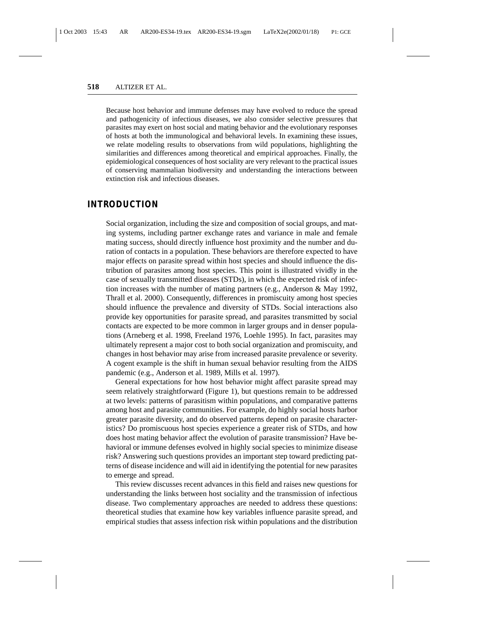Because host behavior and immune defenses may have evolved to reduce the spread and pathogenicity of infectious diseases, we also consider selective pressures that parasites may exert on host social and mating behavior and the evolutionary responses of hosts at both the immunological and behavioral levels. In examining these issues, we relate modeling results to observations from wild populations, highlighting the similarities and differences among theoretical and empirical approaches. Finally, the epidemiological consequences of host sociality are very relevant to the practical issues of conserving mammalian biodiversity and understanding the interactions between extinction risk and infectious diseases.

# **INTRODUCTION**

Social organization, including the size and composition of social groups, and mating systems, including partner exchange rates and variance in male and female mating success, should directly influence host proximity and the number and duration of contacts in a population. These behaviors are therefore expected to have major effects on parasite spread within host species and should influence the distribution of parasites among host species. This point is illustrated vividly in the case of sexually transmitted diseases (STDs), in which the expected risk of infection increases with the number of mating partners (e.g., Anderson & May 1992, Thrall et al. 2000). Consequently, differences in promiscuity among host species should influence the prevalence and diversity of STDs. Social interactions also provide key opportunities for parasite spread, and parasites transmitted by social contacts are expected to be more common in larger groups and in denser populations (Arneberg et al. 1998, Freeland 1976, Loehle 1995). In fact, parasites may ultimately represent a major cost to both social organization and promiscuity, and changes in host behavior may arise from increased parasite prevalence or severity. A cogent example is the shift in human sexual behavior resulting from the AIDS pandemic (e.g., Anderson et al. 1989, Mills et al. 1997).

General expectations for how host behavior might affect parasite spread may seem relatively straightforward (Figure 1), but questions remain to be addressed at two levels: patterns of parasitism within populations, and comparative patterns among host and parasite communities. For example, do highly social hosts harbor greater parasite diversity, and do observed patterns depend on parasite characteristics? Do promiscuous host species experience a greater risk of STDs, and how does host mating behavior affect the evolution of parasite transmission? Have behavioral or immune defenses evolved in highly social species to minimize disease risk? Answering such questions provides an important step toward predicting patterns of disease incidence and will aid in identifying the potential for new parasites to emerge and spread.

This review discusses recent advances in this field and raises new questions for understanding the links between host sociality and the transmission of infectious disease. Two complementary approaches are needed to address these questions: theoretical studies that examine how key variables influence parasite spread, and empirical studies that assess infection risk within populations and the distribution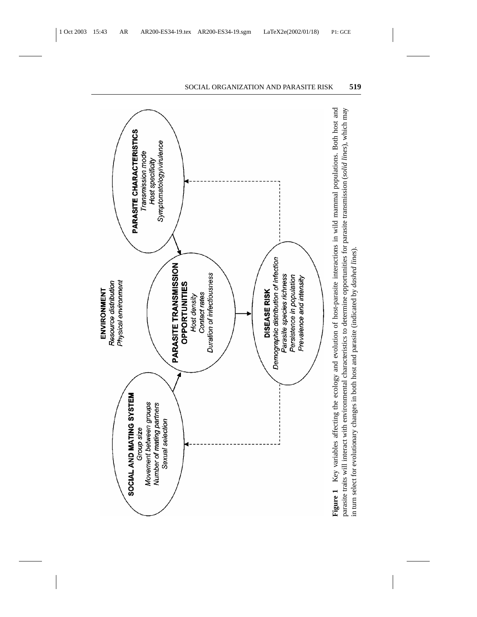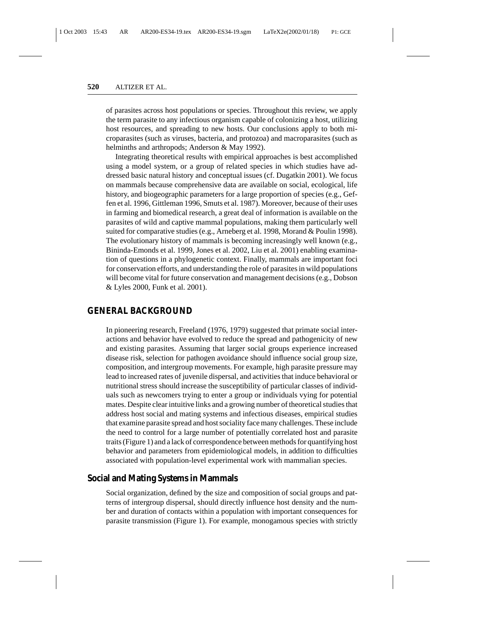of parasites across host populations or species. Throughout this review, we apply the term parasite to any infectious organism capable of colonizing a host, utilizing host resources, and spreading to new hosts. Our conclusions apply to both microparasites (such as viruses, bacteria, and protozoa) and macroparasites (such as helminths and arthropods; Anderson & May 1992).

Integrating theoretical results with empirical approaches is best accomplished using a model system, or a group of related species in which studies have addressed basic natural history and conceptual issues (cf. Dugatkin 2001). We focus on mammals because comprehensive data are available on social, ecological, life history, and biogeographic parameters for a large proportion of species (e.g., Geffen et al. 1996, Gittleman 1996, Smuts et al. 1987). Moreover, because of their uses in farming and biomedical research, a great deal of information is available on the parasites of wild and captive mammal populations, making them particularly well suited for comparative studies (e.g., Arneberg et al. 1998, Morand & Poulin 1998). The evolutionary history of mammals is becoming increasingly well known (e.g., Bininda-Emonds et al. 1999, Jones et al. 2002, Liu et al. 2001) enabling examination of questions in a phylogenetic context. Finally, mammals are important foci for conservation efforts, and understanding the role of parasites in wild populations will become vital for future conservation and management decisions (e.g., Dobson & Lyles 2000, Funk et al. 2001).

#### **GENERAL BACKGROUND**

In pioneering research, Freeland (1976, 1979) suggested that primate social interactions and behavior have evolved to reduce the spread and pathogenicity of new and existing parasites. Assuming that larger social groups experience increased disease risk, selection for pathogen avoidance should influence social group size, composition, and intergroup movements. For example, high parasite pressure may lead to increased rates of juvenile dispersal, and activities that induce behavioral or nutritional stress should increase the susceptibility of particular classes of individuals such as newcomers trying to enter a group or individuals vying for potential mates. Despite clear intuitive links and a growing number of theoretical studies that address host social and mating systems and infectious diseases, empirical studies that examine parasite spread and host sociality face many challenges. These include the need to control for a large number of potentially correlated host and parasite traits (Figure 1) and a lack of correspondence between methods for quantifying host behavior and parameters from epidemiological models, in addition to difficulties associated with population-level experimental work with mammalian species.

#### **Social and Mating Systems in Mammals**

Social organization, defined by the size and composition of social groups and patterns of intergroup dispersal, should directly influence host density and the number and duration of contacts within a population with important consequences for parasite transmission (Figure 1). For example, monogamous species with strictly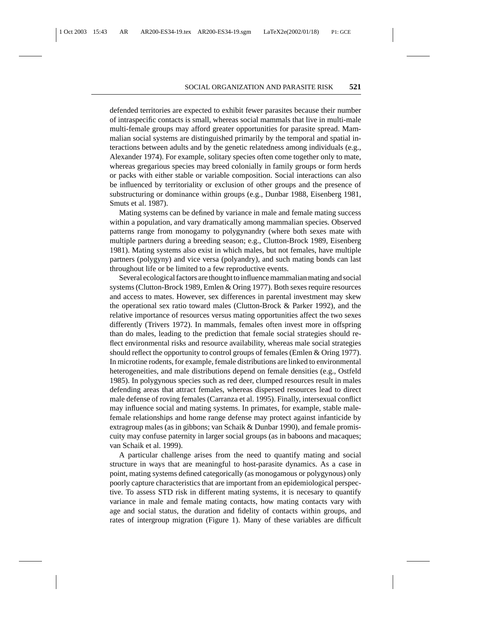defended territories are expected to exhibit fewer parasites because their number of intraspecific contacts is small, whereas social mammals that live in multi-male multi-female groups may afford greater opportunities for parasite spread. Mammalian social systems are distinguished primarily by the temporal and spatial interactions between adults and by the genetic relatedness among individuals (e.g., Alexander 1974). For example, solitary species often come together only to mate, whereas gregarious species may breed colonially in family groups or form herds or packs with either stable or variable composition. Social interactions can also be influenced by territoriality or exclusion of other groups and the presence of substructuring or dominance within groups (e.g., Dunbar 1988, Eisenberg 1981, Smuts et al. 1987).

Mating systems can be defined by variance in male and female mating success within a population, and vary dramatically among mammalian species. Observed patterns range from monogamy to polygynandry (where both sexes mate with multiple partners during a breeding season; e.g., Clutton-Brock 1989, Eisenberg 1981). Mating systems also exist in which males, but not females, have multiple partners (polygyny) and vice versa (polyandry), and such mating bonds can last throughout life or be limited to a few reproductive events.

Several ecological factors are thought to influence mammalian mating and social systems (Clutton-Brock 1989, Emlen & Oring 1977). Both sexes require resources and access to mates. However, sex differences in parental investment may skew the operational sex ratio toward males (Clutton-Brock & Parker 1992), and the relative importance of resources versus mating opportunities affect the two sexes differently (Trivers 1972). In mammals, females often invest more in offspring than do males, leading to the prediction that female social strategies should reflect environmental risks and resource availability, whereas male social strategies should reflect the opportunity to control groups of females (Emlen & Oring 1977). In microtine rodents, for example, female distributions are linked to environmental heterogeneities, and male distributions depend on female densities (e.g., Ostfeld 1985). In polygynous species such as red deer, clumped resources result in males defending areas that attract females, whereas dispersed resources lead to direct male defense of roving females (Carranza et al. 1995). Finally, intersexual conflict may influence social and mating systems. In primates, for example, stable malefemale relationships and home range defense may protect against infanticide by extragroup males (as in gibbons; van Schaik & Dunbar 1990), and female promiscuity may confuse paternity in larger social groups (as in baboons and macaques; van Schaik et al. 1999).

A particular challenge arises from the need to quantify mating and social structure in ways that are meaningful to host-parasite dynamics. As a case in point, mating systems defined categorically (as monogamous or polygynous) only poorly capture characteristics that are important from an epidemiological perspective. To assess STD risk in different mating systems, it is necesary to quantify variance in male and female mating contacts, how mating contacts vary with age and social status, the duration and fidelity of contacts within groups, and rates of intergroup migration (Figure 1). Many of these variables are difficult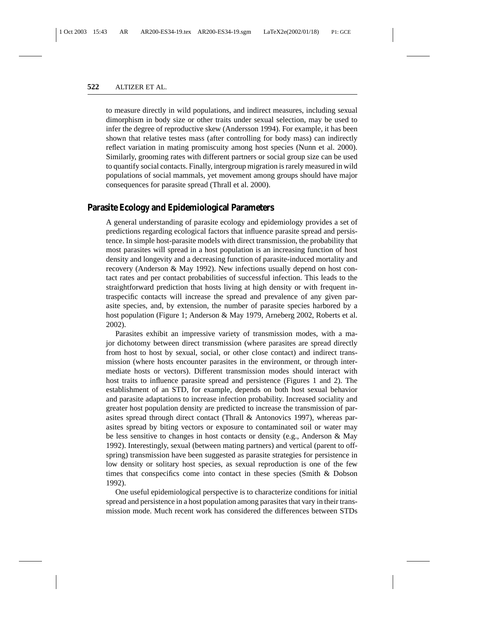to measure directly in wild populations, and indirect measures, including sexual dimorphism in body size or other traits under sexual selection, may be used to infer the degree of reproductive skew (Andersson 1994). For example, it has been shown that relative testes mass (after controlling for body mass) can indirectly reflect variation in mating promiscuity among host species (Nunn et al. 2000). Similarly, grooming rates with different partners or social group size can be used to quantify social contacts. Finally, intergroup migration is rarely measured in wild populations of social mammals, yet movement among groups should have major consequences for parasite spread (Thrall et al. 2000).

## **Parasite Ecology and Epidemiological Parameters**

A general understanding of parasite ecology and epidemiology provides a set of predictions regarding ecological factors that influence parasite spread and persistence. In simple host-parasite models with direct transmission, the probability that most parasites will spread in a host population is an increasing function of host density and longevity and a decreasing function of parasite-induced mortality and recovery (Anderson & May 1992). New infections usually depend on host contact rates and per contact probabilities of successful infection. This leads to the straightforward prediction that hosts living at high density or with frequent intraspecific contacts will increase the spread and prevalence of any given parasite species, and, by extension, the number of parasite species harbored by a host population (Figure 1; Anderson & May 1979, Arneberg 2002, Roberts et al. 2002).

Parasites exhibit an impressive variety of transmission modes, with a major dichotomy between direct transmission (where parasites are spread directly from host to host by sexual, social, or other close contact) and indirect transmission (where hosts encounter parasites in the environment, or through intermediate hosts or vectors). Different transmission modes should interact with host traits to influence parasite spread and persistence (Figures 1 and 2). The establishment of an STD, for example, depends on both host sexual behavior and parasite adaptations to increase infection probability. Increased sociality and greater host population density are predicted to increase the transmission of parasites spread through direct contact (Thrall & Antonovics 1997), whereas parasites spread by biting vectors or exposure to contaminated soil or water may be less sensitive to changes in host contacts or density (e.g., Anderson & May 1992). Interestingly, sexual (between mating partners) and vertical (parent to offspring) transmission have been suggested as parasite strategies for persistence in low density or solitary host species, as sexual reproduction is one of the few times that conspecifics come into contact in these species (Smith & Dobson 1992).

One useful epidemiological perspective is to characterize conditions for initial spread and persistence in a host population among parasites that vary in their transmission mode. Much recent work has considered the differences between STDs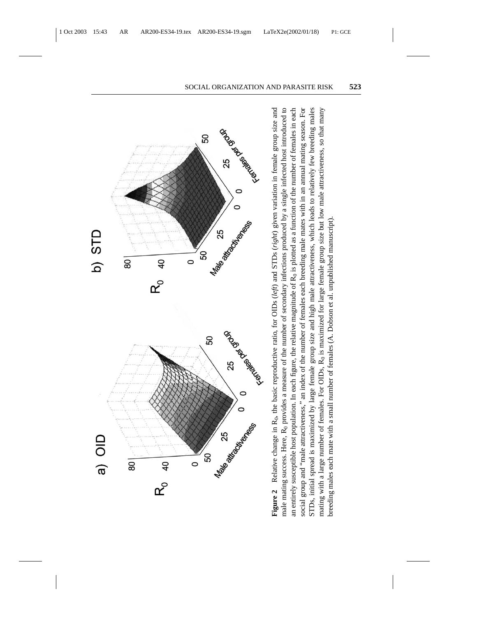

**Figure 2** Relative change in  $R_0$ , the basic reproductive ratio, for OIDs (*left*) and STDs (*right*) given variation in female group size and male mating success. Here, R<sub>0</sub> provides a measure of the number of secondary infections produced by a single infected host introduced to mating with a large number of females. For OIDs, R<sub>0</sub> is maximized for large female group size but low male attractiveness, so that many **Figure 2** Relative change in  $R_0$ , the basic reproductive ratio, for ODs  $(lef)$  and STDs  $(right)$  given variation in female group size and male mating success. Here,  $R_0$  provides a measure of the number of secondary infec social group and "male attractiveness," an index of the number of females each breeding male mates with in an annual mating season. For STDs, initial spread is maximized by large female group size and high male attractiveness, which leads to relatively few breeding males an entirely susceptible host population. In each figure, the relative magnitude of R<sub>0</sub> is plotted as a function of the number of females in each breeding males each mate with a small number of females  $(A, D$ obson et al. unpublished manuscript)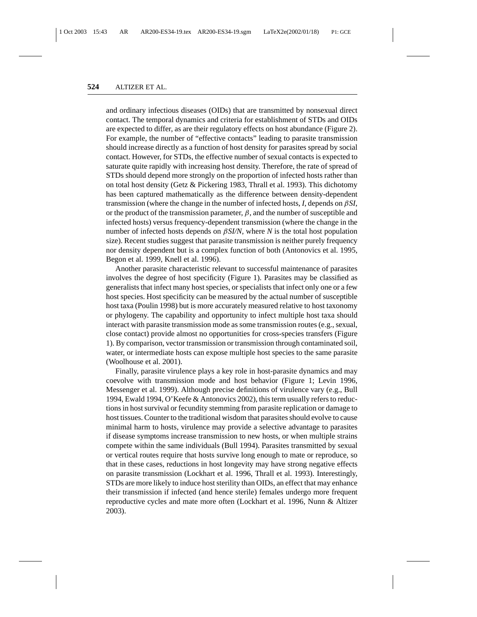and ordinary infectious diseases (OIDs) that are transmitted by nonsexual direct contact. The temporal dynamics and criteria for establishment of STDs and OIDs are expected to differ, as are their regulatory effects on host abundance (Figure 2). For example, the number of "effective contacts" leading to parasite transmission should increase directly as a function of host density for parasites spread by social contact. However, for STDs, the effective number of sexual contacts is expected to saturate quite rapidly with increasing host density. Therefore, the rate of spread of STDs should depend more strongly on the proportion of infected hosts rather than on total host density (Getz & Pickering 1983, Thrall et al. 1993). This dichotomy has been captured mathematically as the difference between density-dependent transmission (where the change in the number of infected hosts, *I*, depends on β*SI*, or the product of the transmission parameter,  $\beta$ , and the number of susceptible and infected hosts) versus frequency-dependent transmission (where the change in the number of infected hosts depends on β*SI/N*, where *N* is the total host population size). Recent studies suggest that parasite transmission is neither purely frequency nor density dependent but is a complex function of both (Antonovics et al. 1995, Begon et al. 1999, Knell et al. 1996).

Another parasite characteristic relevant to successful maintenance of parasites involves the degree of host specificity (Figure 1). Parasites may be classified as generalists that infect many host species, or specialists that infect only one or a few host species. Host specificity can be measured by the actual number of susceptible host taxa (Poulin 1998) but is more accurately measured relative to host taxonomy or phylogeny. The capability and opportunity to infect multiple host taxa should interact with parasite transmission mode as some transmission routes (e.g., sexual, close contact) provide almost no opportunities for cross-species transfers (Figure 1). By comparison, vector transmission or transmission through contaminated soil, water, or intermediate hosts can expose multiple host species to the same parasite (Woolhouse et al. 2001).

Finally, parasite virulence plays a key role in host-parasite dynamics and may coevolve with transmission mode and host behavior (Figure 1; Levin 1996, Messenger et al. 1999). Although precise definitions of virulence vary (e.g., Bull 1994, Ewald 1994, O'Keefe & Antonovics 2002), this term usually refers to reductions in host survival or fecundity stemming from parasite replication or damage to host tissues. Counter to the traditional wisdom that parasites should evolve to cause minimal harm to hosts, virulence may provide a selective advantage to parasites if disease symptoms increase transmission to new hosts, or when multiple strains compete within the same individuals (Bull 1994). Parasites transmitted by sexual or vertical routes require that hosts survive long enough to mate or reproduce, so that in these cases, reductions in host longevity may have strong negative effects on parasite transmission (Lockhart et al. 1996, Thrall et al. 1993). Interestingly, STDs are more likely to induce host sterility than OIDs, an effect that may enhance their transmission if infected (and hence sterile) females undergo more frequent reproductive cycles and mate more often (Lockhart et al. 1996, Nunn & Altizer 2003).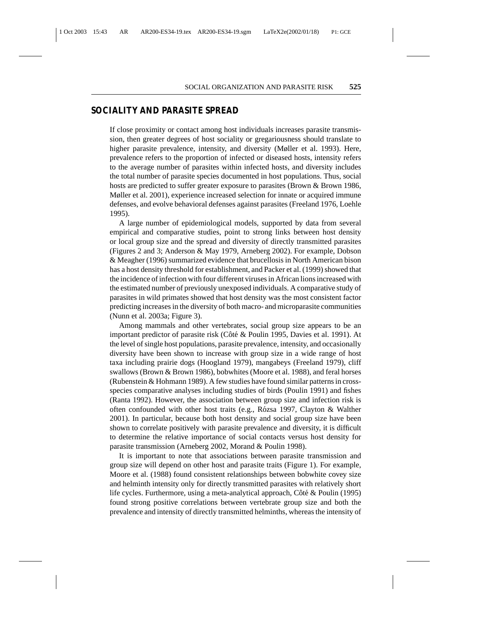# **SOCIALITY AND PARASITE SPREAD**

If close proximity or contact among host individuals increases parasite transmission, then greater degrees of host sociality or gregariousness should translate to higher parasite prevalence, intensity, and diversity (Møller et al. 1993). Here, prevalence refers to the proportion of infected or diseased hosts, intensity refers to the average number of parasites within infected hosts, and diversity includes the total number of parasite species documented in host populations. Thus, social hosts are predicted to suffer greater exposure to parasites (Brown & Brown 1986, Møller et al. 2001), experience increased selection for innate or acquired immune defenses, and evolve behavioral defenses against parasites (Freeland 1976, Loehle 1995).

A large number of epidemiological models, supported by data from several empirical and comparative studies, point to strong links between host density or local group size and the spread and diversity of directly transmitted parasites (Figures 2 and 3; Anderson & May 1979, Arneberg 2002). For example, Dobson & Meagher (1996) summarized evidence that brucellosis in North American bison has a host density threshold for establishment, and Packer et al. (1999) showed that the incidence of infection with four different viruses in African lions increased with the estimated number of previously unexposed individuals. A comparative study of parasites in wild primates showed that host density was the most consistent factor predicting increases in the diversity of both macro- and microparasite communities (Nunn et al. 2003a; Figure 3).

Among mammals and other vertebrates, social group size appears to be an important predictor of parasite risk (Côté & Poulin 1995, Davies et al. 1991). At the level of single host populations, parasite prevalence, intensity, and occasionally diversity have been shown to increase with group size in a wide range of host taxa including prairie dogs (Hoogland 1979), mangabeys (Freeland 1979), cliff swallows (Brown & Brown 1986), bobwhites (Moore et al. 1988), and feral horses (Rubenstein & Hohmann 1989). A few studies have found similar patterns in crossspecies comparative analyses including studies of birds (Poulin 1991) and fishes (Ranta 1992). However, the association between group size and infection risk is often confounded with other host traits (e.g., Rózsa 1997, Clayton & Walther 2001). In particular, because both host density and social group size have been shown to correlate positively with parasite prevalence and diversity, it is difficult to determine the relative importance of social contacts versus host density for parasite transmission (Arneberg 2002, Morand & Poulin 1998).

It is important to note that associations between parasite transmission and group size will depend on other host and parasite traits (Figure 1). For example, Moore et al. (1988) found consistent relationships between bobwhite covey size and helminth intensity only for directly transmitted parasites with relatively short life cycles. Furthermore, using a meta-analytical approach, Côté & Poulin (1995) found strong positive correlations between vertebrate group size and both the prevalence and intensity of directly transmitted helminths, whereas the intensity of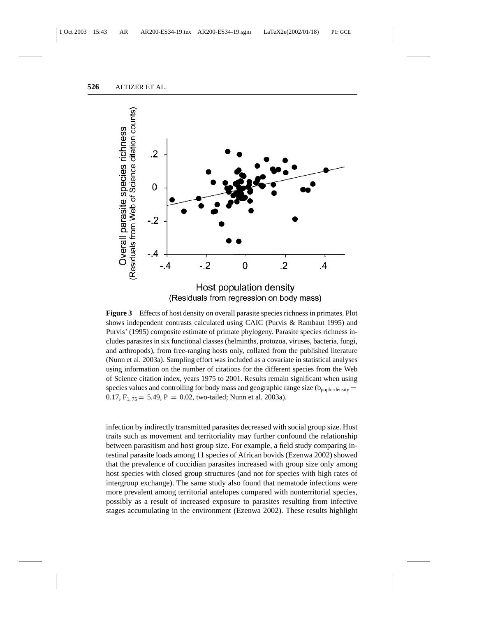

**Figure 3** Effects of host density on overall parasite species richness in primates. Plot shows independent contrasts calculated using CAIC (Purvis & Rambaut 1995) and Purvis' (1995) composite estimate of primate phylogeny. Parasite species richness includes parasites in six functional classes (helminths, protozoa, viruses, bacteria, fungi, and arthropods), from free-ranging hosts only, collated from the published literature (Nunn et al. 2003a). Sampling effort was included as a covariate in statistical analyses using information on the number of citations for the different species from the Web of Science citation index, years 1975 to 2001. Results remain significant when using species values and controlling for body mass and geographic range size  $(b_{\text{pooln-density}} =$ 0.17,  $F_{1, 75} = 5.49$ ,  $P = 0.02$ , two-tailed; Nunn et al. 2003a).

infection by indirectly transmitted parasites decreased with social group size. Host traits such as movement and territoriality may further confound the relationship between parasitism and host group size. For example, a field study comparing intestinal parasite loads among 11 species of African bovids (Ezenwa 2002) showed that the prevalence of coccidian parasites increased with group size only among host species with closed group structures (and not for species with high rates of intergroup exchange). The same study also found that nematode infections were more prevalent among territorial antelopes compared with nonterritorial species, possibly as a result of increased exposure to parasites resulting from infective stages accumulating in the environment (Ezenwa 2002). These results highlight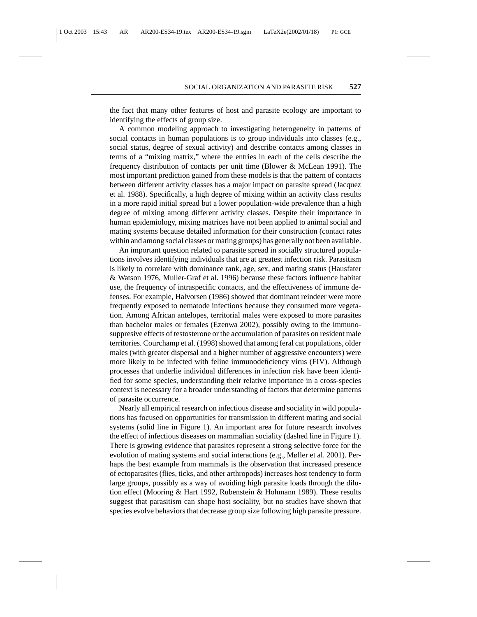the fact that many other features of host and parasite ecology are important to identifying the effects of group size.

A common modeling approach to investigating heterogeneity in patterns of social contacts in human populations is to group individuals into classes (e.g., social status, degree of sexual activity) and describe contacts among classes in terms of a "mixing matrix," where the entries in each of the cells describe the frequency distribution of contacts per unit time (Blower & McLean 1991). The most important prediction gained from these models is that the pattern of contacts between different activity classes has a major impact on parasite spread (Jacquez et al. 1988). Specifically, a high degree of mixing within an activity class results in a more rapid initial spread but a lower population-wide prevalence than a high degree of mixing among different activity classes. Despite their importance in human epidemiology, mixing matrices have not been applied to animal social and mating systems because detailed information for their construction (contact rates within and among social classes or mating groups) has generally not been available.

An important question related to parasite spread in socially structured populations involves identifying individuals that are at greatest infection risk. Parasitism is likely to correlate with dominance rank, age, sex, and mating status (Hausfater & Watson 1976, Muller-Graf et al. 1996) because these factors influence habitat use, the frequency of intraspecific contacts, and the effectiveness of immune defenses. For example, Halvorsen (1986) showed that dominant reindeer were more frequently exposed to nematode infections because they consumed more vegetation. Among African antelopes, territorial males were exposed to more parasites than bachelor males or females (Ezenwa 2002), possibly owing to the immunosuppresive effects of testosterone or the accumulation of parasites on resident male territories. Courchamp et al. (1998) showed that among feral cat populations, older males (with greater dispersal and a higher number of aggressive encounters) were more likely to be infected with feline immunodeficiency virus (FIV). Although processes that underlie individual differences in infection risk have been identified for some species, understanding their relative importance in a cross-species context is necessary for a broader understanding of factors that determine patterns of parasite occurrence.

Nearly all empirical research on infectious disease and sociality in wild populations has focused on opportunities for transmission in different mating and social systems (solid line in Figure 1). An important area for future research involves the effect of infectious diseases on mammalian sociality (dashed line in Figure 1). There is growing evidence that parasites represent a strong selective force for the evolution of mating systems and social interactions (e.g., Møller et al. 2001). Perhaps the best example from mammals is the observation that increased presence of ectoparasites (flies, ticks, and other arthropods) increases host tendency to form large groups, possibly as a way of avoiding high parasite loads through the dilution effect (Mooring & Hart 1992, Rubenstein & Hohmann 1989). These results suggest that parasitism can shape host sociality, but no studies have shown that species evolve behaviors that decrease group size following high parasite pressure.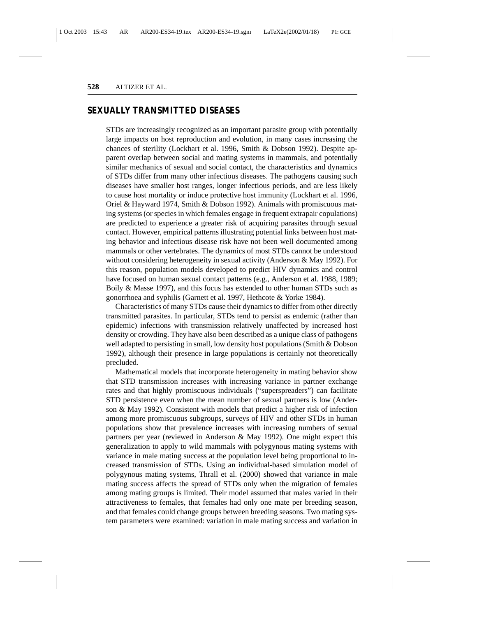## **SEXUALLY TRANSMITTED DISEASES**

STDs are increasingly recognized as an important parasite group with potentially large impacts on host reproduction and evolution, in many cases increasing the chances of sterility (Lockhart et al. 1996, Smith & Dobson 1992). Despite apparent overlap between social and mating systems in mammals, and potentially similar mechanics of sexual and social contact, the characteristics and dynamics of STDs differ from many other infectious diseases. The pathogens causing such diseases have smaller host ranges, longer infectious periods, and are less likely to cause host mortality or induce protective host immunity (Lockhart et al. 1996, Oriel & Hayward 1974, Smith & Dobson 1992). Animals with promiscuous mating systems (or species in which females engage in frequent extrapair copulations) are predicted to experience a greater risk of acquiring parasites through sexual contact. However, empirical patterns illustrating potential links between host mating behavior and infectious disease risk have not been well documented among mammals or other vertebrates. The dynamics of most STDs cannot be understood without considering heterogeneity in sexual activity (Anderson & May 1992). For this reason, population models developed to predict HIV dynamics and control have focused on human sexual contact patterns (e.g., Anderson et al. 1988, 1989; Boily & Masse 1997), and this focus has extended to other human STDs such as gonorrhoea and syphilis (Garnett et al. 1997, Hethcote & Yorke 1984).

Characteristics of many STDs cause their dynamics to differ from other directly transmitted parasites. In particular, STDs tend to persist as endemic (rather than epidemic) infections with transmission relatively unaffected by increased host density or crowding. They have also been described as a unique class of pathogens well adapted to persisting in small, low density host populations (Smith & Dobson 1992), although their presence in large populations is certainly not theoretically precluded.

Mathematical models that incorporate heterogeneity in mating behavior show that STD transmission increases with increasing variance in partner exchange rates and that highly promiscuous individuals ("superspreaders") can facilitate STD persistence even when the mean number of sexual partners is low (Anderson & May 1992). Consistent with models that predict a higher risk of infection among more promiscuous subgroups, surveys of HIV and other STDs in human populations show that prevalence increases with increasing numbers of sexual partners per year (reviewed in Anderson & May 1992). One might expect this generalization to apply to wild mammals with polygynous mating systems with variance in male mating success at the population level being proportional to increased transmission of STDs. Using an individual-based simulation model of polygynous mating systems, Thrall et al. (2000) showed that variance in male mating success affects the spread of STDs only when the migration of females among mating groups is limited. Their model assumed that males varied in their attractiveness to females, that females had only one mate per breeding season, and that females could change groups between breeding seasons. Two mating system parameters were examined: variation in male mating success and variation in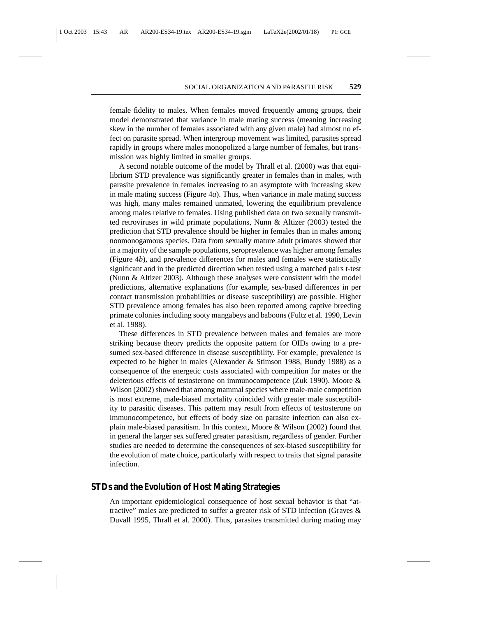female fidelity to males. When females moved frequently among groups, their model demonstrated that variance in male mating success (meaning increasing skew in the number of females associated with any given male) had almost no effect on parasite spread. When intergroup movement was limited, parasites spread rapidly in groups where males monopolized a large number of females, but transmission was highly limited in smaller groups.

A second notable outcome of the model by Thrall et al. (2000) was that equilibrium STD prevalence was significantly greater in females than in males, with parasite prevalence in females increasing to an asymptote with increasing skew in male mating success (Figure 4*a*). Thus, when variance in male mating success was high, many males remained unmated, lowering the equilibrium prevalence among males relative to females. Using published data on two sexually transmitted retroviruses in wild primate populations, Nunn & Altizer (2003) tested the prediction that STD prevalence should be higher in females than in males among nonmonogamous species. Data from sexually mature adult primates showed that in a majority of the sample populations, seroprevalence was higher among females (Figure 4*b*), and prevalence differences for males and females were statistically significant and in the predicted direction when tested using a matched pairs t-test (Nunn & Altizer 2003). Although these analyses were consistent with the model predictions, alternative explanations (for example, sex-based differences in per contact transmission probabilities or disease susceptibility) are possible. Higher STD prevalence among females has also been reported among captive breeding primate colonies including sooty mangabeys and baboons (Fultz et al. 1990, Levin et al. 1988).

These differences in STD prevalence between males and females are more striking because theory predicts the opposite pattern for OIDs owing to a presumed sex-based difference in disease susceptibility. For example, prevalence is expected to be higher in males (Alexander & Stimson 1988, Bundy 1988) as a consequence of the energetic costs associated with competition for mates or the deleterious effects of testosterone on immunocompetence (Zuk 1990). Moore & Wilson (2002) showed that among mammal species where male-male competition is most extreme, male-biased mortality coincided with greater male susceptibility to parasitic diseases. This pattern may result from effects of testosterone on immunocompetence, but effects of body size on parasite infection can also explain male-biased parasitism. In this context, Moore & Wilson (2002) found that in general the larger sex suffered greater parasitism, regardless of gender. Further studies are needed to determine the consequences of sex-biased susceptibility for the evolution of mate choice, particularly with respect to traits that signal parasite infection.

#### **STDs and the Evolution of Host Mating Strategies**

An important epidemiological consequence of host sexual behavior is that "attractive" males are predicted to suffer a greater risk of STD infection (Graves & Duvall 1995, Thrall et al. 2000). Thus, parasites transmitted during mating may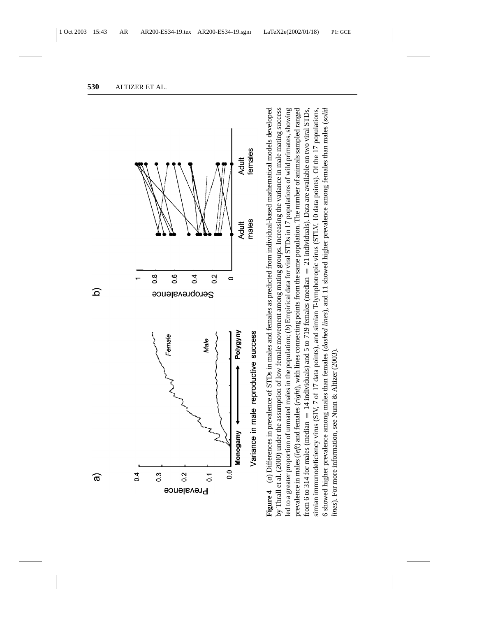

*lines*). For more information, see Nunn & Altizer (2003).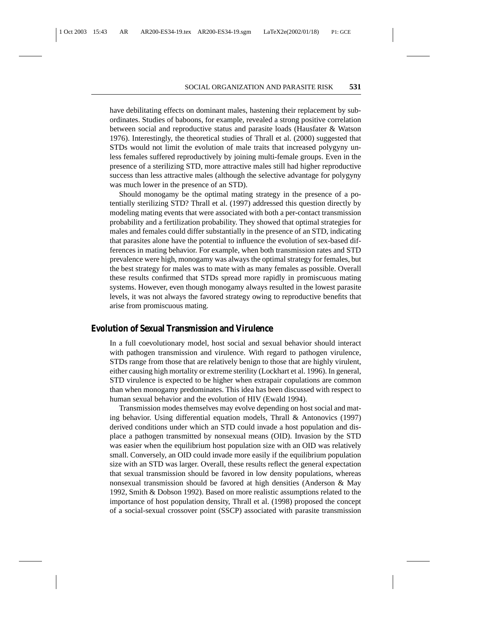have debilitating effects on dominant males, hastening their replacement by subordinates. Studies of baboons, for example, revealed a strong positive correlation between social and reproductive status and parasite loads (Hausfater & Watson 1976). Interestingly, the theoretical studies of Thrall et al. (2000) suggested that STDs would not limit the evolution of male traits that increased polygyny unless females suffered reproductively by joining multi-female groups. Even in the presence of a sterilizing STD, more attractive males still had higher reproductive success than less attractive males (although the selective advantage for polygyny was much lower in the presence of an STD).

Should monogamy be the optimal mating strategy in the presence of a potentially sterilizing STD? Thrall et al. (1997) addressed this question directly by modeling mating events that were associated with both a per-contact transmission probability and a fertilization probability. They showed that optimal strategies for males and females could differ substantially in the presence of an STD, indicating that parasites alone have the potential to influence the evolution of sex-based differences in mating behavior. For example, when both transmission rates and STD prevalence were high, monogamy was always the optimal strategy for females, but the best strategy for males was to mate with as many females as possible. Overall these results confirmed that STDs spread more rapidly in promiscuous mating systems. However, even though monogamy always resulted in the lowest parasite levels, it was not always the favored strategy owing to reproductive benefits that arise from promiscuous mating.

#### **Evolution of Sexual Transmission and Virulence**

In a full coevolutionary model, host social and sexual behavior should interact with pathogen transmission and virulence. With regard to pathogen virulence, STDs range from those that are relatively benign to those that are highly virulent, either causing high mortality or extreme sterility (Lockhart et al. 1996). In general, STD virulence is expected to be higher when extrapair copulations are common than when monogamy predominates. This idea has been discussed with respect to human sexual behavior and the evolution of HIV (Ewald 1994).

Transmission modes themselves may evolve depending on host social and mating behavior. Using differential equation models, Thrall & Antonovics (1997) derived conditions under which an STD could invade a host population and displace a pathogen transmitted by nonsexual means (OID). Invasion by the STD was easier when the equilibrium host population size with an OID was relatively small. Conversely, an OID could invade more easily if the equilibrium population size with an STD was larger. Overall, these results reflect the general expectation that sexual transmission should be favored in low density populations, whereas nonsexual transmission should be favored at high densities (Anderson & May 1992, Smith & Dobson 1992). Based on more realistic assumptions related to the importance of host population density, Thrall et al. (1998) proposed the concept of a social-sexual crossover point (SSCP) associated with parasite transmission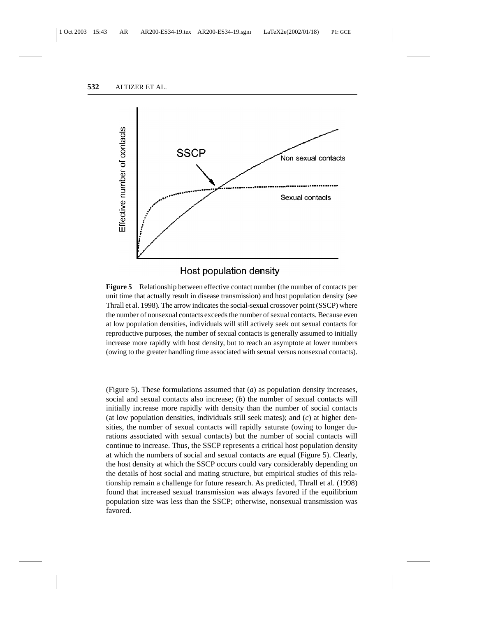

**Figure 5** Relationship between effective contact number (the number of contacts per unit time that actually result in disease transmission) and host population density (see Thrall et al. 1998). The arrow indicates the social-sexual crossover point (SSCP) where the number of nonsexual contacts exceeds the number of sexual contacts. Because even at low population densities, individuals will still actively seek out sexual contacts for reproductive purposes, the number of sexual contacts is generally assumed to initially increase more rapidly with host density, but to reach an asymptote at lower numbers (owing to the greater handling time associated with sexual versus nonsexual contacts).

(Figure 5). These formulations assumed that (*a*) as population density increases, social and sexual contacts also increase; (*b*) the number of sexual contacts will initially increase more rapidly with density than the number of social contacts (at low population densities, individuals still seek mates); and (*c*) at higher densities, the number of sexual contacts will rapidly saturate (owing to longer durations associated with sexual contacts) but the number of social contacts will continue to increase. Thus, the SSCP represents a critical host population density at which the numbers of social and sexual contacts are equal (Figure 5). Clearly, the host density at which the SSCP occurs could vary considerably depending on the details of host social and mating structure, but empirical studies of this relationship remain a challenge for future research. As predicted, Thrall et al. (1998) found that increased sexual transmission was always favored if the equilibrium population size was less than the SSCP; otherwise, nonsexual transmission was favored.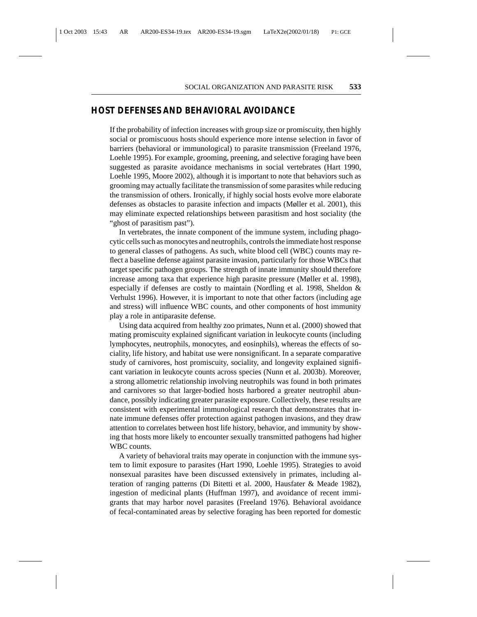# **HOST DEFENSES AND BEHAVIORAL AVOIDANCE**

If the probability of infection increases with group size or promiscuity, then highly social or promiscuous hosts should experience more intense selection in favor of barriers (behavioral or immunological) to parasite transmission (Freeland 1976, Loehle 1995). For example, grooming, preening, and selective foraging have been suggested as parasite avoidance mechanisms in social vertebrates (Hart 1990, Loehle 1995, Moore 2002), although it is important to note that behaviors such as grooming may actually facilitate the transmission of some parasites while reducing the transmission of others. Ironically, if highly social hosts evolve more elaborate defenses as obstacles to parasite infection and impacts (Møller et al. 2001), this may eliminate expected relationships between parasitism and host sociality (the "ghost of parasitism past").

In vertebrates, the innate component of the immune system, including phagocytic cells such as monocytes and neutrophils, controls the immediate host response to general classes of pathogens. As such, white blood cell (WBC) counts may reflect a baseline defense against parasite invasion, particularly for those WBCs that target specific pathogen groups. The strength of innate immunity should therefore increase among taxa that experience high parasite pressure (Møller et al. 1998), especially if defenses are costly to maintain (Nordling et al. 1998, Sheldon & Verhulst 1996). However, it is important to note that other factors (including age and stress) will influence WBC counts, and other components of host immunity play a role in antiparasite defense.

Using data acquired from healthy zoo primates, Nunn et al. (2000) showed that mating promiscuity explained significant variation in leukocyte counts (including lymphocytes, neutrophils, monocytes, and eosinphils), whereas the effects of sociality, life history, and habitat use were nonsignificant. In a separate comparative study of carnivores, host promiscuity, sociality, and longevity explained significant variation in leukocyte counts across species (Nunn et al. 2003b). Moreover, a strong allometric relationship involving neutrophils was found in both primates and carnivores so that larger-bodied hosts harbored a greater neutrophil abundance, possibly indicating greater parasite exposure. Collectively, these results are consistent with experimental immunological research that demonstrates that innate immune defenses offer protection against pathogen invasions, and they draw attention to correlates between host life history, behavior, and immunity by showing that hosts more likely to encounter sexually transmitted pathogens had higher WBC counts.

A variety of behavioral traits may operate in conjunction with the immune system to limit exposure to parasites (Hart 1990, Loehle 1995). Strategies to avoid nonsexual parasites have been discussed extensively in primates, including alteration of ranging patterns (Di Bitetti et al. 2000, Hausfater & Meade 1982), ingestion of medicinal plants (Huffman 1997), and avoidance of recent immigrants that may harbor novel parasites (Freeland 1976). Behavioral avoidance of fecal-contaminated areas by selective foraging has been reported for domestic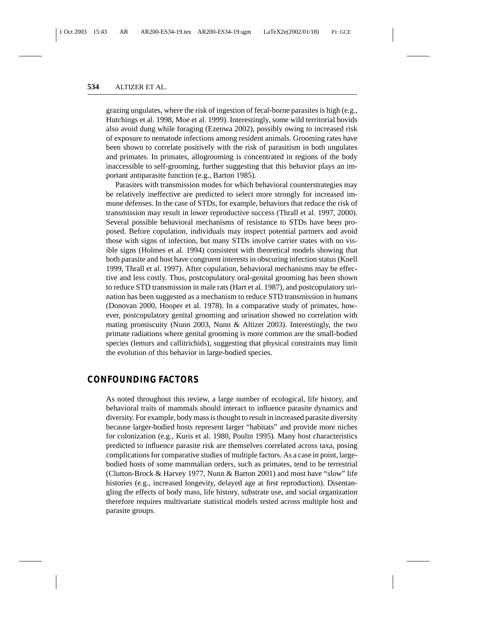grazing ungulates, where the risk of ingestion of fecal-borne parasites is high (e.g., Hutchings et al. 1998, Moe et al. 1999). Interestingly, some wild territorial bovids also avoid dung while foraging (Ezenwa 2002), possibly owing to increased risk of exposure to nematode infections among resident animals. Grooming rates have been shown to correlate positively with the risk of parasitism in both ungulates and primates. In primates, allogrooming is concentrated in regions of the body inaccessible to self-grooming, further suggesting that this behavior plays an important antiparasite function (e.g., Barton 1985).

Parasites with transmission modes for which behavioral counterstrategies may be relatively ineffective are predicted to select more strongly for increased immune defenses. In the case of STDs, for example, behaviors that reduce the risk of transmission may result in lower reproductive success (Thrall et al. 1997, 2000). Several possible behavioral mechanisms of resistance to STDs have been proposed. Before copulation, individuals may inspect potential partners and avoid those with signs of infection, but many STDs involve carrier states with no visible signs (Holmes et al. 1994) consistent with theoretical models showing that both parasite and host have congruent interests in obscuring infection status (Knell 1999, Thrall et al. 1997). After copulation, behavioral mechanisms may be effective and less costly. Thus, postcopulatory oral-genital grooming has been shown to reduce STD transmission in male rats (Hart et al. 1987), and postcopulatory urination has been suggested as a mechanism to reduce STD transmission in humans (Donovan 2000, Hooper et al. 1978). In a comparative study of primates, however, postcopulatory genital grooming and urination showed no correlation with mating promiscuity (Nunn 2003, Nunn & Altizer 2003). Interestingly, the two primate radiations where genital grooming is more common are the small-bodied species (lemurs and callitrichids), suggesting that physical constraints may limit the evolution of this behavior in large-bodied species.

# **CONFOUNDING FACTORS**

As noted throughout this review, a large number of ecological, life history, and behavioral traits of mammals should interact to influence parasite dynamics and diversity. For example, body mass is thought to result in increased parasite diversity because larger-bodied hosts represent larger "habitats" and provide more niches for colonization (e.g., Kuris et al. 1980, Poulin 1995). Many host characteristics predicted to influence parasite risk are themselves correlated across taxa, posing complications for comparative studies of multiple factors. As a case in point, largebodied hosts of some mammalian orders, such as primates, tend to be terrestrial (Clutton-Brock & Harvey 1977, Nunn & Barton 2001) and most have "slow" life histories (e.g., increased longevity, delayed age at first reproduction). Disentangling the effects of body mass, life history, substrate use, and social organization therefore requires multivariate statistical models tested across multiple host and parasite groups.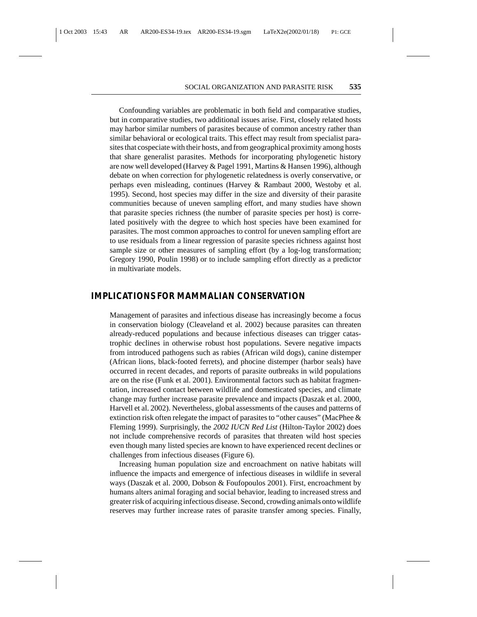Confounding variables are problematic in both field and comparative studies, but in comparative studies, two additional issues arise. First, closely related hosts may harbor similar numbers of parasites because of common ancestry rather than similar behavioral or ecological traits. This effect may result from specialist parasites that cospeciate with their hosts, and from geographical proximity among hosts that share generalist parasites. Methods for incorporating phylogenetic history are now well developed (Harvey & Pagel 1991, Martins & Hansen 1996), although debate on when correction for phylogenetic relatedness is overly conservative, or perhaps even misleading, continues (Harvey & Rambaut 2000, Westoby et al. 1995). Second, host species may differ in the size and diversity of their parasite communities because of uneven sampling effort, and many studies have shown that parasite species richness (the number of parasite species per host) is correlated positively with the degree to which host species have been examined for parasites. The most common approaches to control for uneven sampling effort are to use residuals from a linear regression of parasite species richness against host sample size or other measures of sampling effort (by a log-log transformation; Gregory 1990, Poulin 1998) or to include sampling effort directly as a predictor in multivariate models.

## **IMPLICATIONS FOR MAMMALIAN CONSERVATION**

Management of parasites and infectious disease has increasingly become a focus in conservation biology (Cleaveland et al. 2002) because parasites can threaten already-reduced populations and because infectious diseases can trigger catastrophic declines in otherwise robust host populations. Severe negative impacts from introduced pathogens such as rabies (African wild dogs), canine distemper (African lions, black-footed ferrets), and phocine distemper (harbor seals) have occurred in recent decades, and reports of parasite outbreaks in wild populations are on the rise (Funk et al. 2001). Environmental factors such as habitat fragmentation, increased contact between wildlife and domesticated species, and climate change may further increase parasite prevalence and impacts (Daszak et al. 2000, Harvell et al. 2002). Nevertheless, global assessments of the causes and patterns of extinction risk often relegate the impact of parasites to "other causes" (MacPhee & Fleming 1999). Surprisingly, the *2002 IUCN Red List* (Hilton-Taylor 2002) does not include comprehensive records of parasites that threaten wild host species even though many listed species are known to have experienced recent declines or challenges from infectious diseases (Figure 6).

Increasing human population size and encroachment on native habitats will influence the impacts and emergence of infectious diseases in wildlife in several ways (Daszak et al. 2000, Dobson & Foufopoulos 2001). First, encroachment by humans alters animal foraging and social behavior, leading to increased stress and greater risk of acquiring infectious disease. Second, crowding animals onto wildlife reserves may further increase rates of parasite transfer among species. Finally,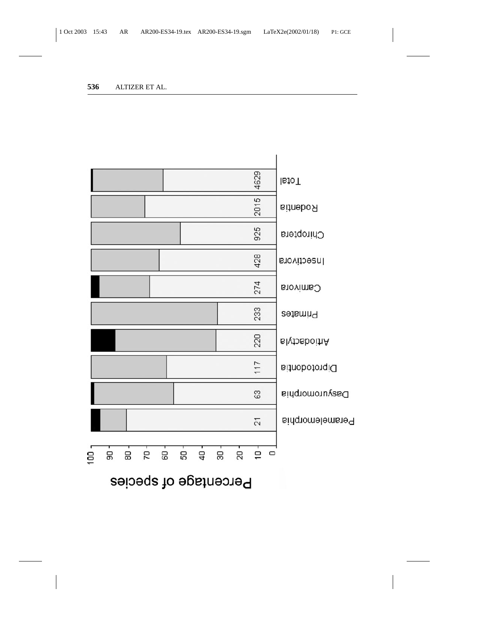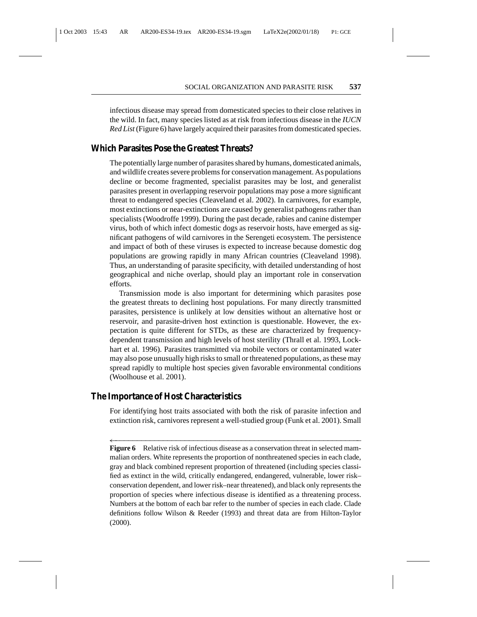infectious disease may spread from domesticated species to their close relatives in the wild. In fact, many species listed as at risk from infectious disease in the *IUCN Red List*(Figure 6) have largely acquired their parasites from domesticated species.

# **Which Parasites Pose the Greatest Threats?**

The potentially large number of parasites shared by humans, domesticated animals, and wildlife creates severe problems for conservation management. As populations decline or become fragmented, specialist parasites may be lost, and generalist parasites present in overlapping reservoir populations may pose a more significant threat to endangered species (Cleaveland et al. 2002). In carnivores, for example, most extinctions or near-extinctions are caused by generalist pathogens rather than specialists (Woodroffe 1999). During the past decade, rabies and canine distemper virus, both of which infect domestic dogs as reservoir hosts, have emerged as significant pathogens of wild carnivores in the Serengeti ecosystem. The persistence and impact of both of these viruses is expected to increase because domestic dog populations are growing rapidly in many African countries (Cleaveland 1998). Thus, an understanding of parasite specificity, with detailed understanding of host geographical and niche overlap, should play an important role in conservation efforts.

Transmission mode is also important for determining which parasites pose the greatest threats to declining host populations. For many directly transmitted parasites, persistence is unlikely at low densities without an alternative host or reservoir, and parasite-driven host extinction is questionable. However, the expectation is quite different for STDs, as these are characterized by frequencydependent transmission and high levels of host sterility (Thrall et al. 1993, Lockhart et al. 1996). Parasites transmitted via mobile vectors or contaminated water may also pose unusually high risks to small or threatened populations, as these may spread rapidly to multiple host species given favorable environmental conditions (Woolhouse et al. 2001).

# **The Importance of Host Characteristics**

For identifying host traits associated with both the risk of parasite infection and extinction risk, carnivores represent a well-studied group (Funk et al. 2001). Small

←<br> **Figure 6** Relative risk of infectious disease as a conservation threat in selected mammalian orders. White represents the proportion of nonthreatened species in each clade, gray and black combined represent proportion of threatened (including species classified as extinct in the wild, critically endangered, endangered, vulnerable, lower risk– conservation dependent, and lower risk–near threatened), and black only represents the proportion of species where infectious disease is identified as a threatening process. Numbers at the bottom of each bar refer to the number of species in each clade. Clade definitions follow Wilson & Reeder (1993) and threat data are from Hilton-Taylor (2000).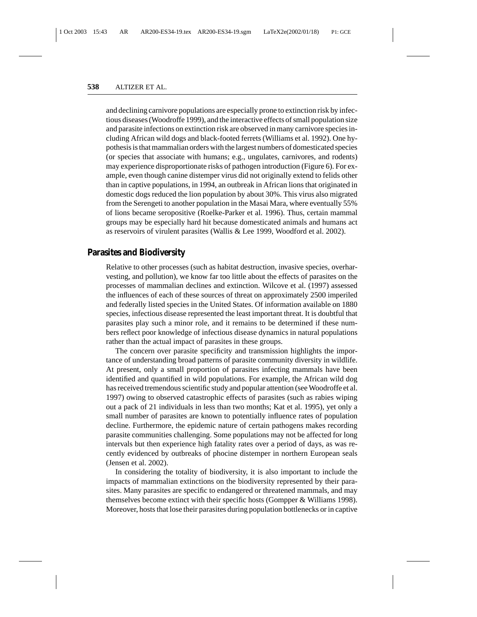and declining carnivore populations are especially prone to extinction risk by infectious diseases (Woodroffe 1999), and the interactive effects of small population size and parasite infections on extinction risk are observed in many carnivore species including African wild dogs and black-footed ferrets (Williams et al. 1992). One hypothesis is that mammalian orders with the largest numbers of domesticated species (or species that associate with humans; e.g., ungulates, carnivores, and rodents) may experience disproportionate risks of pathogen introduction (Figure 6). For example, even though canine distemper virus did not originally extend to felids other than in captive populations, in 1994, an outbreak in African lions that originated in domestic dogs reduced the lion population by about 30%. This virus also migrated from the Serengeti to another population in the Masai Mara, where eventually 55% of lions became seropositive (Roelke-Parker et al. 1996). Thus, certain mammal groups may be especially hard hit because domesticated animals and humans act as reservoirs of virulent parasites (Wallis & Lee 1999, Woodford et al. 2002).

# **Parasites and Biodiversity**

Relative to other processes (such as habitat destruction, invasive species, overharvesting, and pollution), we know far too little about the effects of parasites on the processes of mammalian declines and extinction. Wilcove et al. (1997) assessed the influences of each of these sources of threat on approximately 2500 imperiled and federally listed species in the United States. Of information available on 1880 species, infectious disease represented the least important threat. It is doubtful that parasites play such a minor role, and it remains to be determined if these numbers reflect poor knowledge of infectious disease dynamics in natural populations rather than the actual impact of parasites in these groups.

The concern over parasite specificity and transmission highlights the importance of understanding broad patterns of parasite community diversity in wildlife. At present, only a small proportion of parasites infecting mammals have been identified and quantified in wild populations. For example, the African wild dog has received tremendous scientific study and popular attention (see Woodroffe et al. 1997) owing to observed catastrophic effects of parasites (such as rabies wiping out a pack of 21 individuals in less than two months; Kat et al. 1995), yet only a small number of parasites are known to potentially influence rates of population decline. Furthermore, the epidemic nature of certain pathogens makes recording parasite communities challenging. Some populations may not be affected for long intervals but then experience high fatality rates over a period of days, as was recently evidenced by outbreaks of phocine distemper in northern European seals (Jensen et al. 2002).

In considering the totality of biodiversity, it is also important to include the impacts of mammalian extinctions on the biodiversity represented by their parasites. Many parasites are specific to endangered or threatened mammals, and may themselves become extinct with their specific hosts (Gompper & Williams 1998). Moreover, hosts that lose their parasites during population bottlenecks or in captive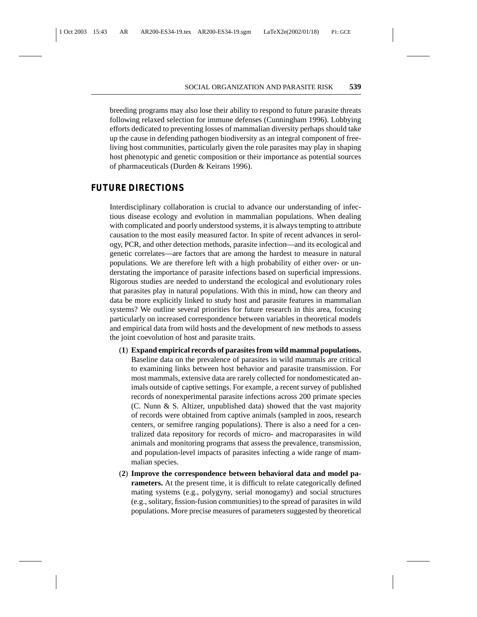breeding programs may also lose their ability to respond to future parasite threats following relaxed selection for immune defenses (Cunningham 1996). Lobbying efforts dedicated to preventing losses of mammalian diversity perhaps should take up the cause in defending pathogen biodiversity as an integral component of freeliving host communities, particularly given the role parasites may play in shaping host phenotypic and genetic composition or their importance as potential sources of pharmaceuticals (Durden & Keirans 1996).

#### **FUTURE DIRECTIONS**

Interdisciplinary collaboration is crucial to advance our understanding of infectious disease ecology and evolution in mammalian populations. When dealing with complicated and poorly understood systems, it is always tempting to attribute causation to the most easily measured factor. In spite of recent advances in serology, PCR, and other detection methods, parasite infection—and its ecological and genetic correlates—are factors that are among the hardest to measure in natural populations. We are therefore left with a high probability of either over- or understating the importance of parasite infections based on superficial impressions. Rigorous studies are needed to understand the ecological and evolutionary roles that parasites play in natural populations. With this in mind, how can theory and data be more explicitly linked to study host and parasite features in mammalian systems? We outline several priorities for future research in this area, focusing particularly on increased correspondence between variables in theoretical models and empirical data from wild hosts and the development of new methods to assess the joint coevolution of host and parasite traits.

- (**1**) **Expand empirical records of parasites from wild mammal populations.** Baseline data on the prevalence of parasites in wild mammals are critical to examining links between host behavior and parasite transmission. For most mammals, extensive data are rarely collected for nondomesticated animals outside of captive settings. For example, a recent survey of published records of nonexperimental parasite infections across 200 primate species (C. Nunn & S. Altizer, unpublished data) showed that the vast majority of records were obtained from captive animals (sampled in zoos, research centers, or semifree ranging populations). There is also a need for a centralized data repository for records of micro- and macroparasites in wild animals and monitoring programs that assess the prevalence, transmission, and population-level impacts of parasites infecting a wide range of mammalian species.
- (**2**) **Improve the correspondence between behavioral data and model parameters.** At the present time, it is difficult to relate categorically defined mating systems (e.g., polygyny, serial monogamy) and social structures (e.g., solitary, fission-fusion communities) to the spread of parasites in wild populations. More precise measures of parameters suggested by theoretical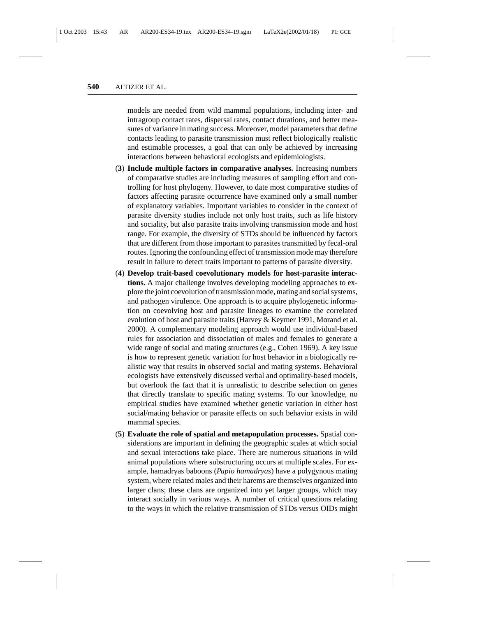models are needed from wild mammal populations, including inter- and intragroup contact rates, dispersal rates, contact durations, and better measures of variance in mating success. Moreover, model parameters that define contacts leading to parasite transmission must reflect biologically realistic and estimable processes, a goal that can only be achieved by increasing interactions between behavioral ecologists and epidemiologists.

- (**3**) **Include multiple factors in comparative analyses.** Increasing numbers of comparative studies are including measures of sampling effort and controlling for host phylogeny. However, to date most comparative studies of factors affecting parasite occurrence have examined only a small number of explanatory variables. Important variables to consider in the context of parasite diversity studies include not only host traits, such as life history and sociality, but also parasite traits involving transmission mode and host range. For example, the diversity of STDs should be influenced by factors that are different from those important to parasites transmitted by fecal-oral routes. Ignoring the confounding effect of transmission mode may therefore result in failure to detect traits important to patterns of parasite diversity.
- (**4**) **Develop trait-based coevolutionary models for host-parasite interactions.** A major challenge involves developing modeling approaches to explore the joint coevolution of transmission mode, mating and social systems, and pathogen virulence. One approach is to acquire phylogenetic information on coevolving host and parasite lineages to examine the correlated evolution of host and parasite traits (Harvey & Keymer 1991, Morand et al. 2000). A complementary modeling approach would use individual-based rules for association and dissociation of males and females to generate a wide range of social and mating structures (e.g., Cohen 1969). A key issue is how to represent genetic variation for host behavior in a biologically realistic way that results in observed social and mating systems. Behavioral ecologists have extensively discussed verbal and optimality-based models, but overlook the fact that it is unrealistic to describe selection on genes that directly translate to specific mating systems. To our knowledge, no empirical studies have examined whether genetic variation in either host social/mating behavior or parasite effects on such behavior exists in wild mammal species.
- (**5**) **Evaluate the role of spatial and metapopulation processes.** Spatial considerations are important in defining the geographic scales at which social and sexual interactions take place. There are numerous situations in wild animal populations where substructuring occurs at multiple scales. For example, hamadryas baboons (*Papio hamadryas*) have a polygynous mating system, where related males and their harems are themselves organized into larger clans; these clans are organized into yet larger groups, which may interact socially in various ways. A number of critical questions relating to the ways in which the relative transmission of STDs versus OIDs might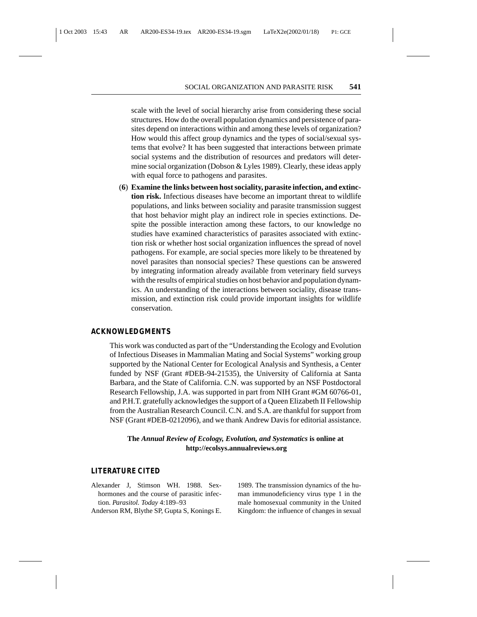scale with the level of social hierarchy arise from considering these social structures. How do the overall population dynamics and persistence of parasites depend on interactions within and among these levels of organization? How would this affect group dynamics and the types of social/sexual systems that evolve? It has been suggested that interactions between primate social systems and the distribution of resources and predators will determine social organization (Dobson & Lyles 1989). Clearly, these ideas apply with equal force to pathogens and parasites.

(**6**) **Examine the links between host sociality, parasite infection, and extinction risk.** Infectious diseases have become an important threat to wildlife populations, and links between sociality and parasite transmission suggest that host behavior might play an indirect role in species extinctions. Despite the possible interaction among these factors, to our knowledge no studies have examined characteristics of parasites associated with extinction risk or whether host social organization influences the spread of novel pathogens. For example, are social species more likely to be threatened by novel parasites than nonsocial species? These questions can be answered by integrating information already available from veterinary field surveys with the results of empirical studies on host behavior and population dynamics. An understanding of the interactions between sociality, disease transmission, and extinction risk could provide important insights for wildlife conservation.

#### **ACKNOWLEDGMENTS**

This work was conducted as part of the "Understanding the Ecology and Evolution of Infectious Diseases in Mammalian Mating and Social Systems" working group supported by the National Center for Ecological Analysis and Synthesis, a Center funded by NSF (Grant #DEB-94-21535), the University of California at Santa Barbara, and the State of California. C.N. was supported by an NSF Postdoctoral Research Fellowship, J.A. was supported in part from NIH Grant #GM 60766-01, and P.H.T. gratefully acknowledges the support of a Queen Elizabeth II Fellowship from the Australian Research Council. C.N. and S.A. are thankful for support from NSF (Grant #DEB-0212096), and we thank Andrew Davis for editorial assistance.

**The** *Annual Review of Ecology, Evolution, and Systematics* **is online at http://ecolsys.annualreviews.org**

#### **LITERATURE CITED**

- Alexander J, Stimson WH. 1988. Sexhormones and the course of parasitic infection. *Parasitol. Today* 4:189–93
- Anderson RM, Blythe SP, Gupta S, Konings E.

1989. The transmission dynamics of the human immunodeficiency virus type 1 in the male homosexual community in the United Kingdom: the influence of changes in sexual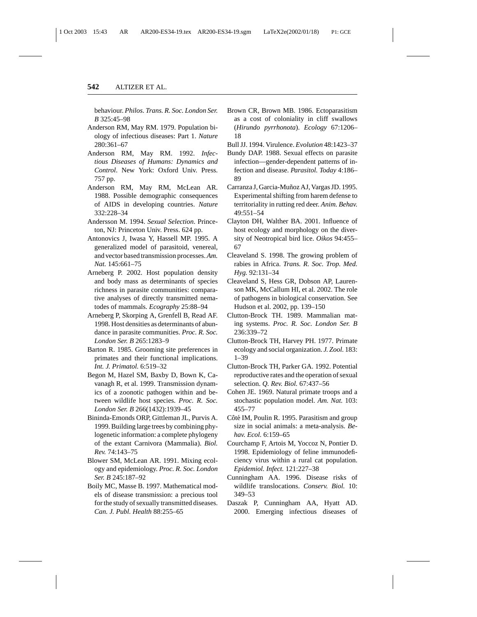behaviour. *Philos. Trans. R. Soc. London Ser. B* 325:45–98

- Anderson RM, May RM. 1979. Population biology of infectious diseases: Part 1. *Nature* 280:361–67
- Anderson RM, May RM. 1992. *Infectious Diseases of Humans: Dynamics and Control*. New York: Oxford Univ. Press. 757 pp.
- Anderson RM, May RM, McLean AR. 1988. Possible demographic consequences of AIDS in developing countries. *Nature* 332:228–34
- Andersson M. 1994. *Sexual Selection*. Princeton, NJ: Princeton Univ. Press. 624 pp.
- Antonovics J, Iwasa Y, Hassell MP. 1995. A generalized model of parasitoid, venereal, and vector based transmission processes.*Am. Nat.* 145:661–75
- Arneberg P. 2002. Host population density and body mass as determinants of species richness in parasite communities: comparative analyses of directly transmitted nematodes of mammals. *Ecography* 25:88–94
- Arneberg P, Skorping A, Grenfell B, Read AF. 1998. Host densities as determinants of abundance in parasite communities. *Proc. R. Soc. London Ser. B* 265:1283–9
- Barton R. 1985. Grooming site preferences in primates and their functional implications. *Int. J. Primatol.* 6:519–32
- Begon M, Hazel SM, Baxby D, Bown K, Cavanagh R, et al. 1999. Transmission dynamics of a zoonotic pathogen within and between wildlife host species. *Proc. R. Soc. London Ser. B* 266(1432):1939–45
- Bininda-Emonds ORP, Gittleman JL, Purvis A. 1999. Building large trees by combining phylogenetic information: a complete phylogeny of the extant Carnivora (Mammalia). *Biol. Rev.* 74:143–75
- Blower SM, McLean AR. 1991. Mixing ecology and epidemiology. *Proc. R. Soc. London Ser. B* 245:187–92
- Boily MC, Masse B. 1997. Mathematical models of disease transmission: a precious tool for the study of sexually transmitted diseases. *Can. J. Publ. Health* 88:255–65
- Brown CR, Brown MB. 1986. Ectoparasitism as a cost of coloniality in cliff swallows (*Hirundo pyrrhonota*). *Ecology* 67:1206– 18
- Bull JJ. 1994. Virulence. *Evolution* 48:1423–37
- Bundy DAP. 1988. Sexual effects on parasite infection—gender-dependent patterns of infection and disease. *Parasitol. Today* 4:186– 89
- Carranza J, Garcia-Muñoz AJ, Vargas JD. 1995. Experimental shifting from harem defense to territoriality in rutting red deer. *Anim. Behav.* 49:551–54
- Clayton DH, Walther BA. 2001. Influence of host ecology and morphology on the diversity of Neotropical bird lice. *Oikos* 94:455– 67
- Cleaveland S. 1998. The growing problem of rabies in Africa. *Trans. R. Soc. Trop. Med. Hyg.* 92:131–34
- Cleaveland S, Hess GR, Dobson AP, Laurenson MK, McCallum HI, et al. 2002. The role of pathogens in biological conservation. See Hudson et al. 2002, pp. 139–150
- Clutton-Brock TH. 1989. Mammalian mating systems. *Proc. R. Soc. London Ser. B* 236:339–72
- Clutton-Brock TH, Harvey PH. 1977. Primate ecology and social organization. *J. Zool.* 183: 1–39
- Clutton-Brock TH, Parker GA. 1992. Potential reproductive rates and the operation of sexual selection. *Q. Rev. Biol.* 67:437–56
- Cohen JE. 1969. Natural primate troops and a stochastic population model. *Am. Nat.* 103: 455–77
- Côté IM, Poulin R. 1995. Parasitism and group size in social animals: a meta-analysis. *Behav. Ecol.* 6:159–65
- Courchamp F, Artois M, Yoccoz N, Pontier D. 1998. Epidemiology of feline immunodeficiency virus within a rural cat population. *Epidemiol. Infect.* 121:227–38
- Cunningham AA. 1996. Disease risks of wildlife translocations. *Conserv. Biol.* 10: 349–53
- Daszak P, Cunningham AA, Hyatt AD. 2000. Emerging infectious diseases of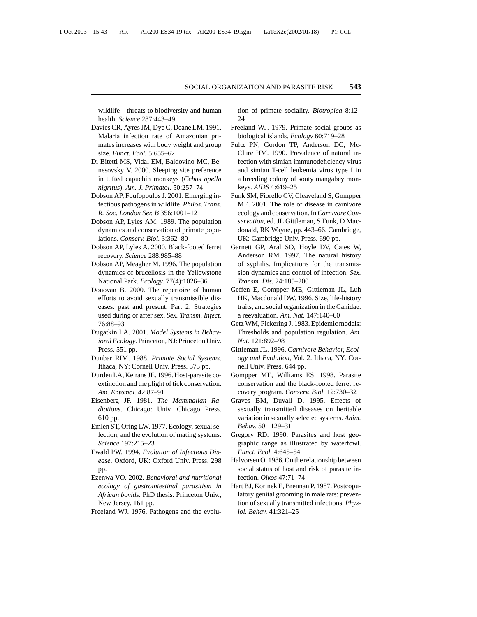wildlife—threats to biodiversity and human health. *Science* 287:443–49

- Davies CR, Ayres JM, Dye C, Deane LM. 1991. Malaria infection rate of Amazonian primates increases with body weight and group size. *Funct. Ecol.* 5:655–62
- Di Bitetti MS, Vidal EM, Baldovino MC, Benesovsky V. 2000. Sleeping site preference in tufted capuchin monkeys (*Cebus apella nigritus*). *Am. J. Primatol.* 50:257–74
- Dobson AP, Foufopoulos J. 2001. Emerging infectious pathogens in wildlife. *Philos. Trans. R. Soc. London Ser. B* 356:1001–12
- Dobson AP, Lyles AM. 1989. The population dynamics and conservation of primate populations. *Conserv. Biol.* 3:362–80
- Dobson AP, Lyles A. 2000. Black-footed ferret recovery. *Science* 288:985–88
- Dobson AP, Meagher M. 1996. The population dynamics of brucellosis in the Yellowstone National Park. *Ecology.* 77(4):1026–36
- Donovan B. 2000. The repertoire of human efforts to avoid sexually transmissible diseases: past and present. Part 2: Strategies used during or after sex. *Sex. Transm. Infect.* 76:88–93
- Dugatkin LA. 2001. *Model Systems in Behavioral Ecology*. Princeton, NJ: Princeton Univ. Press. 551 pp.
- Dunbar RIM. 1988. *Primate Social Systems*. Ithaca, NY: Cornell Univ. Press. 373 pp.
- Durden LA, Keirans JE. 1996. Host-parasite coextinction and the plight of tick conservation. *Am. Entomol.* 42:87–91
- Eisenberg JF. 1981. *The Mammalian Radiations*. Chicago: Univ. Chicago Press. 610 pp.
- Emlen ST, Oring LW. 1977. Ecology, sexual selection, and the evolution of mating systems. *Science* 197:215–23
- Ewald PW. 1994. *Evolution of Infectious Disease*. Oxford, UK: Oxford Univ. Press. 298 pp.
- Ezenwa VO. 2002. *Behavioral and nutritional ecology of gastrointestinal parasitism in African bovids.* PhD thesis. Princeton Univ., New Jersey. 161 pp.
- Freeland WJ. 1976. Pathogens and the evolu-

tion of primate sociality. *Biotropica* 8:12– 24

- Freeland WJ. 1979. Primate social groups as biological islands. *Ecology* 60:719–28
- Fultz PN, Gordon TP, Anderson DC, Mc-Clure HM. 1990. Prevalence of natural infection with simian immunodeficiency virus and simian T-cell leukemia virus type I in a breeding colony of sooty mangabey monkeys. *AIDS* 4:619–25
- Funk SM, Fiorello CV, Cleaveland S, Gompper ME. 2001. The role of disease in carnivore ecology and conservation. In*Carnivore Conservation*, ed. JL Gittleman, S Funk, D Macdonald, RK Wayne, pp. 443–66. Cambridge, UK: Cambridge Univ. Press. 690 pp.
- Garnett GP, Aral SO, Hoyle DV, Cates W, Anderson RM. 1997. The natural history of syphilis. Implications for the transmission dynamics and control of infection. *Sex. Transm. Dis.* 24:185–200
- Geffen E, Gompper ME, Gittleman JL, Luh HK, Macdonald DW. 1996. Size, life-history traits, and social organization in the Canidae: a reevaluation. *Am. Nat.* 147:140–60
- Getz WM, Pickering J. 1983. Epidemic models: Thresholds and population regulation. *Am. Nat.* 121:892–98
- Gittleman JL. 1996. *Carnivore Behavior, Ecology and Evolution*, Vol. 2. Ithaca, NY: Cornell Univ. Press. 644 pp.
- Gompper ME, Williams ES. 1998. Parasite conservation and the black-footed ferret recovery program. *Conserv. Biol.* 12:730–32
- Graves BM, Duvall D. 1995. Effects of sexually transmitted diseases on heritable variation in sexually selected systems. *Anim. Behav.* 50:1129–31
- Gregory RD. 1990. Parasites and host geographic range as illustrated by waterfowl. *Funct. Ecol.* 4:645–54
- Halvorsen O. 1986. On the relationship between social status of host and risk of parasite infection. *Oikos* 47:71–74
- Hart BJ, Korinek E, Brennan P. 1987. Postcopulatory genital grooming in male rats: prevention of sexually transmitted infections. *Physiol. Behav.* 41:321–25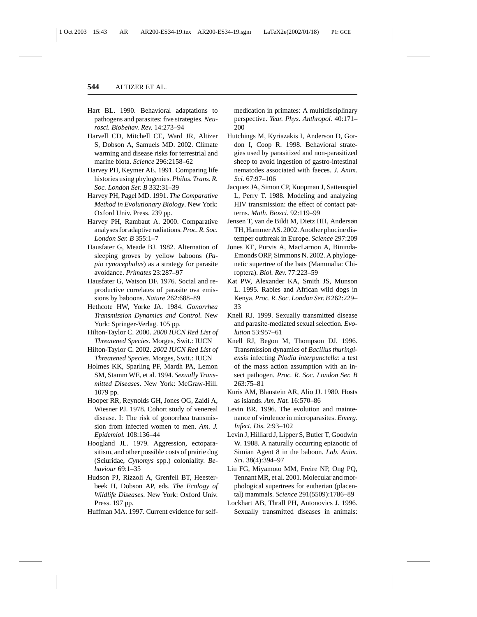- Hart BL. 1990. Behavioral adaptations to pathogens and parasites: five strategies. *Neurosci. Biobehav. Rev.* 14:273–94
- Harvell CD, Mitchell CE, Ward JR, Altizer S, Dobson A, Samuels MD. 2002. Climate warming and disease risks for terrestrial and marine biota. *Science* 296:2158–62
- Harvey PH, Keymer AE. 1991. Comparing life histories using phylogenies. *Philos. Trans. R. Soc. London Ser. B* 332:31–39
- Harvey PH, Pagel MD. 1991. *The Comparative Method in Evolutionary Biology*. New York: Oxford Univ. Press. 239 pp.
- Harvey PH, Rambaut A. 2000. Comparative analyses for adaptive radiations.*Proc. R. Soc. London Ser. B* 355:1–7
- Hausfater G, Meade BJ. 1982. Alternation of sleeping groves by yellow baboons (*Papio cynocephalus*) as a strategy for parasite avoidance. *Primates* 23:287–97
- Hausfater G, Watson DF. 1976. Social and reproductive correlates of parasite ova emissions by baboons. *Nature* 262:688–89
- Hethcote HW, Yorke JA. 1984. *Gonorrhea Transmission Dynamics and Control*. New York: Springer-Verlag. 105 pp.
- Hilton-Taylor C. 2000. *2000 IUCN Red List of Threatened Species.* Morges, Swit.: IUCN
- Hilton-Taylor C. 2002. *2002 IUCN Red List of Threatened Species.* Morges, Swit.: IUCN
- Holmes KK, Sparling PF, Mardh PA, Lemon SM, Stamm WE, et al. 1994. *Sexually Transmitted Diseases*. New York: McGraw-Hill. 1079 pp.
- Hooper RR, Reynolds GH, Jones OG, Zaidi A, Wiesner PJ. 1978. Cohort study of venereal disease. I: The risk of gonorrhea transmission from infected women to men. *Am. J. Epidemiol.* 108:136–44
- Hoogland JL. 1979. Aggression, ectoparasitism, and other possible costs of prairie dog (Sciuridae, *Cynomys* spp.) coloniality. *Behaviour* 69:1–35
- Hudson PJ, Rizzoli A, Grenfell BT, Heesterbeek H, Dobson AP, eds. *The Ecology of Wildlife Diseases*. New York: Oxford Univ. Press. 197 pp.
- Huffman MA. 1997. Current evidence for self-

medication in primates: A multidisciplinary perspective. *Year. Phys. Anthropol.* 40:171– 200

- Hutchings M, Kyriazakis I, Anderson D, Gordon I, Coop R. 1998. Behavioral strategies used by parasitized and non-parasitized sheep to avoid ingestion of gastro-intestinal nematodes associated with faeces. *J. Anim. Sci.* 67:97–106
- Jacquez JA, Simon CP, Koopman J, Sattenspiel L, Perry T. 1988. Modeling and analyzing HIV transmission: the effect of contact patterns. *Math. Biosci.* 92:119–99
- Jensen T, van de Bildt M, Dietz HH, Andersøn TH, Hammer AS. 2002. Another phocine distemper outbreak in Europe. *Science* 297:209
- Jones KE, Purvis A, MacLarnon A, Bininda-Emonds ORP, Simmons N. 2002. A phylogenetic supertree of the bats (Mammalia: Chiroptera). *Biol. Rev.* 77:223–59
- Kat PW, Alexander KA, Smith JS, Munson L. 1995. Rabies and African wild dogs in Kenya. *Proc. R. Soc. London Ser. B* 262:229– 33
- Knell RJ. 1999. Sexually transmitted disease and parasite-mediated sexual selection. *Evolution* 53:957–61
- Knell RJ, Begon M, Thompson DJ. 1996. Transmission dynamics of *Bacillus thuringiensis* infecting *Plodia interpunctella*: a test of the mass action assumption with an insect pathogen. *Proc. R. Soc. London Ser. B* 263:75–81
- Kuris AM, Blaustein AR, Alio JJ. 1980. Hosts as islands. *Am. Nat.* 16:570–86
- Levin BR. 1996. The evolution and maintenance of virulence in microparasites. *Emerg. Infect. Dis.* 2:93–102
- Levin J, Hilliard J, Lipper S, Butler T, Goodwin W. 1988. A naturally occurring epizootic of Simian Agent 8 in the baboon. *Lab. Anim. Sci.* 38(4):394–97
- Liu FG, Miyamoto MM, Freire NP, Ong PQ, Tennant MR, et al. 2001. Molecular and morphological supertrees for eutherian (placental) mammals. *Science* 291(5509):1786–89
- Lockhart AB, Thrall PH, Antonovics J. 1996. Sexually transmitted diseases in animals: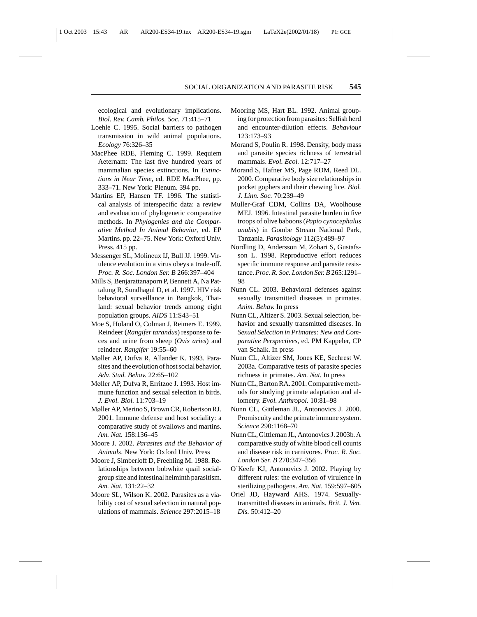ecological and evolutionary implications. *Biol. Rev. Camb. Philos. Soc.* 71:415–71

- Loehle C. 1995. Social barriers to pathogen transmission in wild animal populations. *Ecology* 76:326–35
- MacPhee RDE, Fleming C. 1999. Requiem Aeternam: The last five hundred years of mammalian species extinctions. In *Extinctions in Near Time*, ed. RDE MacPhee, pp. 333–71. New York: Plenum. 394 pp.
- Martins EP, Hansen TF. 1996. The statistical analysis of interspecific data: a review and evaluation of phylogenetic comparative methods. In *Phylogenies and the Comparative Method In Animal Behavior*, ed. EP Martins. pp. 22–75. New York: Oxford Univ. Press. 415 pp.
- Messenger SL, Molineux IJ, Bull JJ. 1999. Virulence evolution in a virus obeys a trade-off. *Proc. R. Soc. London Ser. B* 266:397–404
- Mills S, Benjarattanaporn P, Bennett A, Na Pattalung R, Sundhagul D, et al. 1997. HIV risk behavioral surveillance in Bangkok, Thailand: sexual behavior trends among eight population groups. *AIDS* 11:S43–51
- Moe S, Holand O, Colman J, Reimers E. 1999. Reindeer (*Rangifer tarandus*) response to feces and urine from sheep (*Ovis aries*) and reindeer. *Rangifer* 19:55–60
- Møller AP, Dufva R, Allander K. 1993. Parasites and the evolution of host social behavior. *Adv. Stud. Behav.* 22:65–102
- Møller AP, Dufva R, Erritzoe J. 1993. Host immune function and sexual selection in birds. *J. Evol. Biol.* 11:703–19
- Møller AP, Merino S, Brown CR, Robertson RJ. 2001. Immune defense and host sociality: a comparative study of swallows and martins. *Am. Nat.* 158:136–45
- Moore J. 2002. *Parasites and the Behavior of Animals*. New York: Oxford Univ. Press
- Moore J, Simberloff D, Freehling M. 1988. Relationships between bobwhite quail socialgroup size and intestinal helminth parasitism. *Am. Nat.* 131:22–32
- Moore SL, Wilson K. 2002. Parasites as a viability cost of sexual selection in natural populations of mammals. *Science* 297:2015–18
- Mooring MS, Hart BL. 1992. Animal grouping for protection from parasites: Selfish herd and encounter-dilution effects. *Behaviour* 123:173–93
- Morand S, Poulin R. 1998. Density, body mass and parasite species richness of terrestrial mammals. *Evol. Ecol.* 12:717–27
- Morand S, Hafner MS, Page RDM, Reed DL. 2000. Comparative body size relationships in pocket gophers and their chewing lice. *Biol. J. Linn. Soc.* 70:239–49
- Muller-Graf CDM, Collins DA, Woolhouse MEJ. 1996. Intestinal parasite burden in five troops of olive baboons (*Papio cynocephalus anubis*) in Gombe Stream National Park, Tanzania. *Parasitology* 112(5):489–97
- Nordling D, Andersson M, Zohari S, Gustafsson L. 1998. Reproductive effort reduces specific immune response and parasite resistance. *Proc. R. Soc. London Ser. B* 265:1291– 98
- Nunn CL. 2003. Behavioral defenses against sexually transmitted diseases in primates. *Anim. Behav.* In press
- Nunn CL, Altizer S. 2003. Sexual selection, behavior and sexually transmitted diseases. In *Sexual Selection in Primates: New and Comparative Perspectives*, ed. PM Kappeler, CP van Schaik. In press
- Nunn CL, Altizer SM, Jones KE, Sechrest W. 2003a. Comparative tests of parasite species richness in primates. *Am. Nat.* In press
- Nunn CL, Barton RA. 2001. Comparative methods for studying primate adaptation and allometry. *Evol. Anthropol.* 10:81–98
- Nunn CL, Gittleman JL, Antonovics J. 2000. Promiscuity and the primate immune system. *Science* 290:1168–70
- Nunn CL, Gittleman JL, Antonovics J. 2003b. A comparative study of white blood cell counts and disease risk in carnivores. *Proc. R. Soc. London Ser. B* 270:347–356
- O'Keefe KJ, Antonovics J. 2002. Playing by different rules: the evolution of virulence in sterilizing pathogens. *Am. Nat.* 159:597–605
- Oriel JD, Hayward AHS. 1974. Sexuallytransmitted diseases in animals. *Brit. J. Ven. Dis.* 50:412–20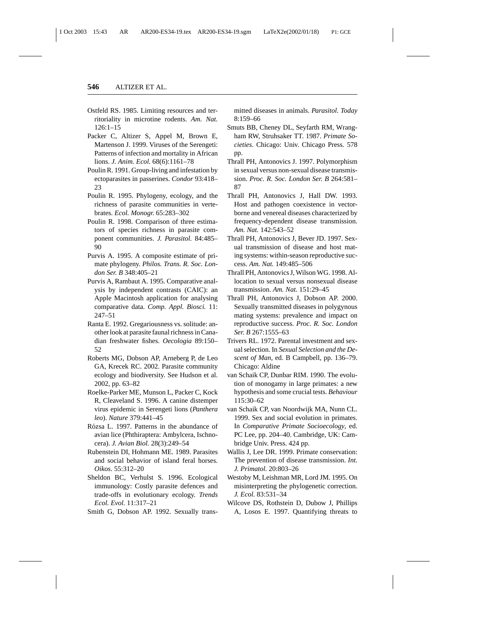- Ostfeld RS. 1985. Limiting resources and territoriality in microtine rodents. *Am. Nat.* 126:1–15
- Packer C, Altizer S, Appel M, Brown E, Martenson J. 1999. Viruses of the Serengeti: Patterns of infection and mortality in African lions. *J. Anim. Ecol.* 68(6):1161–78
- Poulin R. 1991. Group-living and infestation by ectoparasites in passerines. *Condor* 93:418– 23
- Poulin R. 1995. Phylogeny, ecology, and the richness of parasite communities in vertebrates. *Ecol. Monogr.* 65:283–302
- Poulin R. 1998. Comparison of three estimators of species richness in parasite component communities. *J. Parasitol.* 84:485– 90
- Purvis A. 1995. A composite estimate of primate phylogeny. *Philos. Trans. R. Soc. London Ser. B* 348:405–21
- Purvis A, Rambaut A. 1995. Comparative analysis by independent contrasts (CAIC): an Apple Macintosh application for analysing comparative data. *Comp. Appl. Biosci.* 11: 247–51
- Ranta E. 1992. Gregariousness vs. solitude: another look at parasite faunal richness in Canadian freshwater fishes. *Oecologia* 89:150– 52
- Roberts MG, Dobson AP, Arneberg P, de Leo GA, Krecek RC. 2002. Parasite community ecology and biodiversity. See Hudson et al. 2002, pp. 63–82
- Roelke-Parker ME, Munson L, Packer C, Kock R, Cleaveland S. 1996. A canine distemper virus epidemic in Serengeti lions (*Panthera leo*). *Nature* 379:441–45
- Rózsa L. 1997. Patterns in the abundance of avian lice (Phthiraptera: Ambylcera, Ischnocera). *J. Avian Biol.* 28(3):249–54
- Rubenstein DI, Hohmann ME. 1989. Parasites and social behavior of island feral horses. *Oikos.* 55:312–20
- Sheldon BC, Verhulst S. 1996. Ecological immunology: Costly parasite defences and trade-offs in evolutionary ecology. *Trends Ecol. Evol.* 11:317–21
- Smith G, Dobson AP. 1992. Sexually trans-

mitted diseases in animals. *Parasitol. Today* 8:159–66

- Smuts BB, Cheney DL, Seyfarth RM, Wrangham RW, Struhsaker TT. 1987. *Primate Societies*. Chicago: Univ. Chicago Press. 578 pp.
- Thrall PH, Antonovics J. 1997. Polymorphism in sexual versus non-sexual disease transmission. *Proc. R. Soc. London Ser. B* 264:581– 87
- Thrall PH, Antonovics J, Hall DW. 1993. Host and pathogen coexistence in vectorborne and venereal diseases characterized by frequency-dependent disease transmission. *Am. Nat.* 142:543–52
- Thrall PH, Antonovics J, Bever JD. 1997. Sexual transmission of disease and host mating systems: within-season reproductive success. *Am. Nat.* 149:485–506
- Thrall PH, Antonovics J, Wilson WG. 1998. Allocation to sexual versus nonsexual disease transmission. *Am. Nat.* 151:29–45
- Thrall PH, Antonovics J, Dobson AP. 2000. Sexually transmitted diseases in polygynous mating systems: prevalence and impact on reproductive success. *Proc. R. Soc. London Ser. B* 267:1555–63
- Trivers RL. 1972. Parental investment and sexual selection. In *Sexual Selection and the Descent of Man*, ed. B Campbell, pp. 136–79. Chicago: Aldine
- van Schaik CP, Dunbar RIM. 1990. The evolution of monogamy in large primates: a new hypothesis and some crucial tests. *Behaviour* 115:30–62
- van Schaik CP, van Noordwijk MA, Nunn CL. 1999. Sex and social evolution in primates. In *Comparative Primate Socioecology*, ed. PC Lee, pp. 204–40. Cambridge, UK: Cambridge Univ. Press. 424 pp.
- Wallis J, Lee DR. 1999. Primate conservation: The prevention of disease transmission. *Int. J. Primatol.* 20:803–26
- Westoby M, Leishman MR, Lord JM. 1995. On misinterpreting the phylogenetic correction. *J. Ecol.* 83:531–34
- Wilcove DS, Rothstein D, Dubow J, Phillips A, Losos E. 1997. Quantifying threats to